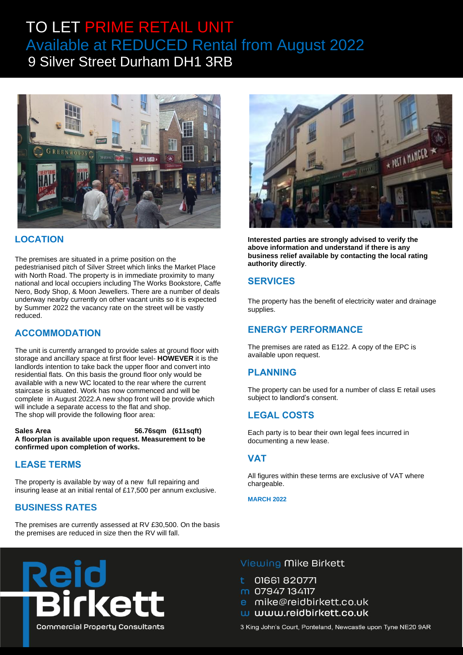# TO LET PRIME RETAIL UNIT Available at REDUCED Rental from August 2022 <sup>9</sup> Silver Street Durham DH1 3RB



#### **LOCATION**

The premises are situated in a prime position on the pedestrianised pitch of Silver Street which links the Market Place with North Road. The property is in immediate proximity to many national and local occupiers including The Works Bookstore, Caffe Nero, Body Shop, & Moon Jewellers. There are a number of deals underway nearby currently on other vacant units so it is expected by Summer 2022 the vacancy rate on the street will be vastly reduced.

# **ACCOMMODATION**

The unit is currently arranged to provide sales at ground floor with storage and ancillary space at first floor level- **HOWEVER** it is the landlords intention to take back the upper floor and convert into residential flats. On this basis the ground floor only would be available with a new WC located to the rear where the current staircase is situated. Work has now commenced and will be complete in August 2022.A new shop front will be provide which will include a separate access to the flat and shop. The shop will provide the following floor area:

**Sales Area 56.76sqm (611sqft) A floorplan is available upon request. Measurement to be confirmed upon completion of works.**

# **LEASE TERMS**

The property is available by way of a new full repairing and insuring lease at an initial rental of £17,500 per annum exclusive.

# **BUSINESS RATES**

The premises are currently assessed at RV £30,500. On the basis the premises are reduced in size then the RV will fall.



**Interested parties are strongly advised to verify the above information and understand if there is any business relief available by contacting the local rating authority directly**.

#### **SERVICES**

The property has the benefit of electricity water and drainage supplies.

# **ENERGY PERFORMANCE**

The premises are rated as E122. A copy of the EPC is available upon request.

#### **PLANNING**

The property can be used for a number of class E retail uses subject to landlord's consent.

# **LEGAL COSTS**

Each party is to bear their own legal fees incurred in documenting a new lease.

#### **VAT**

All figures within these terms are exclusive of VAT where chargeable.

**MARCH 2022**



#### Viewing Mike Birkett

01661 820771

m 07947 134117

mike@reidbirkett.co.uk

w www.reidbirkett.co.uk

3 King John's Court, Ponteland, Newcastle upon Tyne NE20 9AR